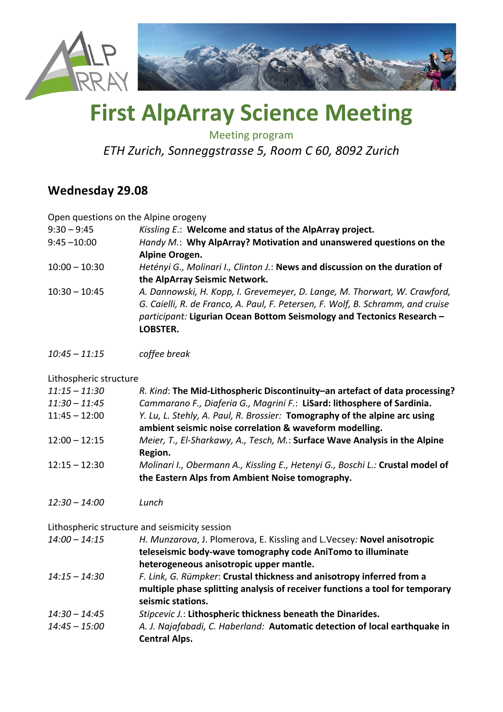

# **First AlpArray Science Meeting**

Meeting program

*ETH Zurich, Sonneggstrasse 5, Room C 60, 8092 Zurich*

### **Wednesday 29.08**

Open questions on the Alpine orogeny

| $9:30 - 9:45$   | Kissling E.: Welcome and status of the AlpArray project.                                                                                                                                                                                           |
|-----------------|----------------------------------------------------------------------------------------------------------------------------------------------------------------------------------------------------------------------------------------------------|
| $9:45 - 10:00$  | Handy M.: Why AlpArray? Motivation and unanswered questions on the                                                                                                                                                                                 |
|                 | Alpine Orogen.                                                                                                                                                                                                                                     |
| $10:00 - 10:30$ | Hetényi G., Molinari I., Clinton J.: News and discussion on the duration of                                                                                                                                                                        |
|                 | the AlpArray Seismic Network.                                                                                                                                                                                                                      |
| $10:30 - 10:45$ | A. Dannowski, H. Kopp, I. Grevemeyer, D. Lange, M. Thorwart, W. Crawford,<br>G. Caielli, R. de Franco, A. Paul, F. Petersen, F. Wolf, B. Schramm, and cruise<br>participant: Ligurian Ocean Bottom Seismology and Tectonics Research -<br>LOBSTER. |

*10:45 – 11:15 coffee break*

#### Lithospheric structure

| $11:15 - 11:30$ | R. Kind: The Mid-Lithospheric Discontinuity-an artefact of data processing?    |
|-----------------|--------------------------------------------------------------------------------|
| $11:30 - 11:45$ | Cammarano F., Diaferia G., Magrini F.: LiSard: lithosphere of Sardinia.        |
| $11:45 - 12:00$ | Y. Lu, L. Stehly, A. Paul, R. Brossier: Tomography of the alpine arc using     |
|                 | ambient seismic noise correlation & waveform modelling.                        |
| $12:00 - 12:15$ | Meier, T., El-Sharkawy, A., Tesch, M.: Surface Wave Analysis in the Alpine     |
|                 | Region.                                                                        |
| $12:15 - 12:30$ | Molinari I., Obermann A., Kissling E., Hetenyi G., Boschi L.: Crustal model of |
|                 | the Eastern Alps from Ambient Noise tomography.                                |

*12:30 – 14:00 Lunch*

Lithospheric structure and seismicity session

| $14:00 - 14:15$ | H. Munzarova, J. Plomerova, E. Kissling and L. Vecsey: Novel anisotropic<br>teleseismic body-wave tomography code AniTomo to illuminate                                    |
|-----------------|----------------------------------------------------------------------------------------------------------------------------------------------------------------------------|
|                 | heterogeneous anisotropic upper mantle.                                                                                                                                    |
| $14:15 - 14:30$ | F. Link, G. Rümpker: Crustal thickness and anisotropy inferred from a<br>multiple phase splitting analysis of receiver functions a tool for temporary<br>seismic stations. |
| $14:30 - 14:45$ | Stipcevic J.: Lithospheric thickness beneath the Dinarides.                                                                                                                |
| $14:45 - 15:00$ | A. J. Najafabadi, C. Haberland: Automatic detection of local earthquake in<br><b>Central Alps.</b>                                                                         |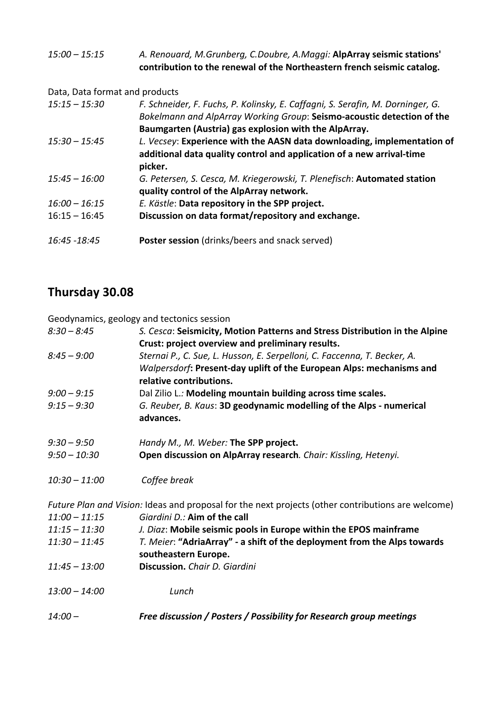15:00 - 15:15 A. Renouard, M.Grunberg, C.Doubre, A.Maggi: AlpArray seismic stations' contribution to the renewal of the Northeastern french seismic catalog.

Data, Data format and products

| $15:15 - 15:30$ | F. Schneider, F. Fuchs, P. Kolinsky, E. Caffagni, S. Serafin, M. Dorninger, G.<br>Bokelmann and AlpArray Working Group: Seismo-acoustic detection of the<br>Baumgarten (Austria) gas explosion with the AlpArray. |
|-----------------|-------------------------------------------------------------------------------------------------------------------------------------------------------------------------------------------------------------------|
| $15:30 - 15:45$ | L. Vecsey: Experience with the AASN data downloading, implementation of<br>additional data quality control and application of a new arrival-time<br>picker.                                                       |
| $15:45 - 16:00$ | G. Petersen, S. Cesca, M. Kriegerowski, T. Plenefisch: Automated station<br>quality control of the AlpArray network.                                                                                              |
| $16:00 - 16:15$ | E. Kästle: Data repository in the SPP project.                                                                                                                                                                    |
| $16:15 - 16:45$ | Discussion on data format/repository and exchange.                                                                                                                                                                |
| 16:45 - 18:45   | <b>Poster session</b> (drinks/beers and snack served)                                                                                                                                                             |

## **Thursday 30.08**

Geodynamics, geology and tectonics session

| $14:00-$        | Free discussion / Posters / Possibility for Research group meetings                                |
|-----------------|----------------------------------------------------------------------------------------------------|
| $13:00 - 14:00$ | Lunch                                                                                              |
| $11:45 - 13:00$ | Discussion, Chair D. Giardini                                                                      |
|                 | southeastern Europe.                                                                               |
| $11:30 - 11:45$ | T. Meier: "AdriaArray" - a shift of the deployment from the Alps towards                           |
| $11:15 - 11:30$ | J. Diaz: Mobile seismic pools in Europe within the EPOS mainframe                                  |
| $11:00 - 11:15$ | Giardini D.: Aim of the call                                                                       |
|                 | Future Plan and Vision: Ideas and proposal for the next projects (other contributions are welcome) |
| $10:30 - 11:00$ | Coffee break                                                                                       |
|                 |                                                                                                    |
| $9:50 - 10:30$  | Open discussion on AlpArray research. Chair: Kissling, Hetenyi.                                    |
| $9:30 - 9:50$   | Handy M., M. Weber: The SPP project.                                                               |
|                 | advances.                                                                                          |
| $9:15 - 9:30$   | G. Reuber, B. Kaus: 3D geodynamic modelling of the Alps - numerical                                |
| $9:00 - 9:15$   | Dal Zilio L.: Modeling mountain building across time scales.                                       |
|                 | relative contributions.                                                                            |
|                 | Walpersdorf: Present-day uplift of the European Alps: mechanisms and                               |
| $8:45 - 9:00$   | Sternai P., C. Sue, L. Husson, E. Serpelloni, C. Faccenna, T. Becker, A.                           |
|                 | Crust: project overview and preliminary results.                                                   |
| $8:30 - 8:45$   | S. Cesca: Seismicity, Motion Patterns and Stress Distribution in the Alpine                        |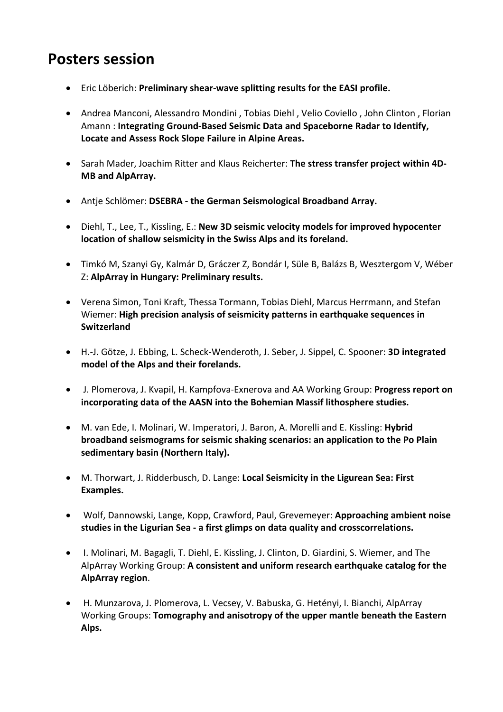# **Posters session**

- Eric Löberich: Preliminary shear-wave splitting results for the EASI profile.
- Andrea Manconi, Alessandro Mondini, Tobias Diehl, Velio Coviello, John Clinton, Florian Amann : Integrating Ground-Based Seismic Data and Spaceborne Radar to Identify, Locate and Assess Rock Slope Failure in Alpine Areas.
- Sarah Mader, Joachim Ritter and Klaus Reicherter: The stress transfer project within 4D-**MB** and AlpArray.
- Antie Schlömer: DSEBRA the German Seismological Broadband Array.
- Diehl, T., Lee, T., Kissling, E.: New 3D seismic velocity models for improved hypocenter **location of shallow seismicity in the Swiss Alps and its foreland.**
- Timkó M, Szanyi Gy, Kalmár D, Gráczer Z, Bondár I, Süle B, Balázs B, Wesztergom V, Wéber Z: **AlpArray in Hungary: Preliminary results.**
- Verena Simon, Toni Kraft, Thessa Tormann, Tobias Diehl, Marcus Herrmann, and Stefan Wiemer: High precision analysis of seismicity patterns in earthquake sequences in **Switzerland**
- H.-J. Götze, J. Ebbing, L. Scheck-Wenderoth, J. Seber, J. Sippel, C. Spooner: **3D integrated**  model of the Alps and their forelands.
- J. Plomerova, J. Kvapil, H. Kampfova-Exnerova and AA Working Group: Progress report on incorporating data of the AASN into the Bohemian Massif lithosphere studies.
- M. van Ede, I. Molinari, W. Imperatori, J. Baron, A. Morelli and E. Kissling: **Hybrid broadband seismograms for seismic shaking scenarios: an application to the Po Plain** sedimentary basin (Northern Italy).
- M. Thorwart, J. Ridderbusch, D. Lange: Local Seismicity in the Ligurean Sea: First **Examples.**
- Wolf, Dannowski, Lange, Kopp, Crawford, Paul, Grevemeyer: **Approaching ambient noise** studies in the Ligurian Sea - a first glimps on data quality and crosscorrelations.
- I. Molinari, M. Bagagli, T. Diehl, E. Kissling, J. Clinton, D. Giardini, S. Wiemer, and The AlpArray Working Group: A consistent and uniform research earthquake catalog for the **AlpArray region**.
- H. Munzarova, J. Plomerova, L. Vecsey, V. Babuska, G. Hetényi, I. Bianchi, AlpArray Working Groups: **Tomography and anisotropy of the upper mantle beneath the Eastern Alps.**